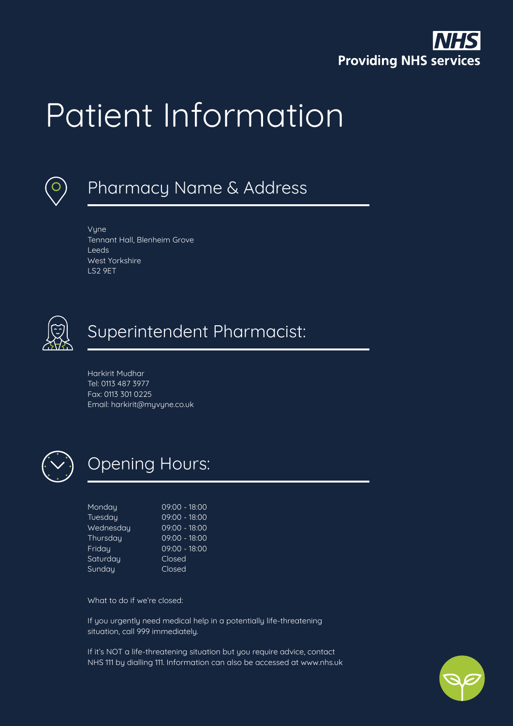

# Patient Information



# Pharmacy Name & Address

Vyne Tennant Hall, Blenheim Grove Leeds West Yorkshire LS2 9ET



### Superintendent Pharmacist:

Harkirit Mudhar Tel: 0113 487 3977 Fax: 0113 301 0225 Email: harkirit@myvyne.co.uk



# Opening Hours:

| Monday    | 09:00 - 18:00   |
|-----------|-----------------|
| Tuesday   | 09:00 - 18:00   |
| Wednesday | 09:00 - 18:00   |
| Thursday  | $09:00 - 18:00$ |
| Friday    | $09:00 - 18:00$ |
| Saturday  | Closed          |
| Sundau    | Closed          |
|           |                 |

What to do if we're closed:

If you urgently need medical help in a potentially life-threatening situation, call 999 immediately.

If it's NOT a life-threatening situation but you require advice, contact NHS 111 by dialling 111. Information can also be accessed at www.nhs.uk

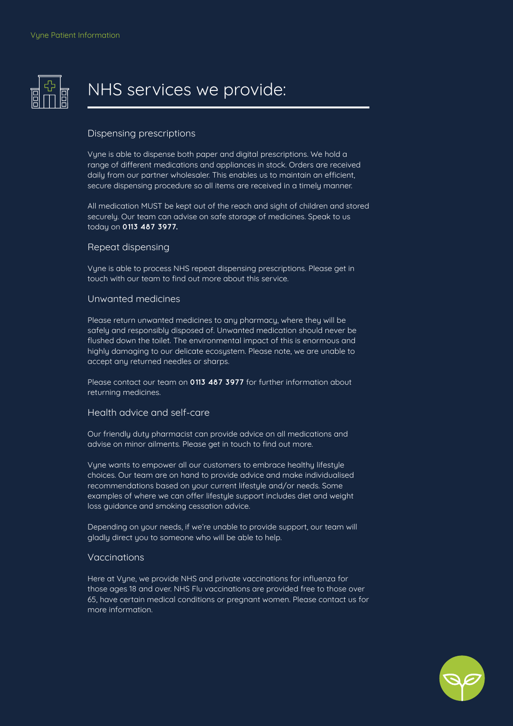

### NHS services we provide:

### Dispensing prescriptions

Vyne is able to dispense both paper and digital prescriptions. We hold a range of different medications and appliances in stock. Orders are received daily from our partner wholesaler. This enables us to maintain an efficient, secure dispensing procedure so all items are received in a timely manner.

All medication MUST be kept out of the reach and sight of children and stored securely. Our team can advise on safe storage of medicines. Speak to us today on **0113 487 3977.**

#### Repeat dispensing

Vyne is able to process NHS repeat dispensing prescriptions. Please get in touch with our team to find out more about this service.

### Unwanted medicines

Please return unwanted medicines to any pharmacy, where they will be safely and responsibly disposed of. Unwanted medication should never be flushed down the toilet. The environmental impact of this is enormous and highly damaging to our delicate ecosystem. Please note, we are unable to accept any returned needles or sharps.

Please contact our team on **0113 487 3977** for further information about returning medicines.

### Health advice and self-care

Our friendly duty pharmacist can provide advice on all medications and advise on minor ailments. Please get in touch to find out more.

Vyne wants to empower all our customers to embrace healthy lifestyle choices. Our team are on hand to provide advice and make individualised recommendations based on your current lifestyle and/or needs. Some examples of where we can offer lifestyle support includes diet and weight loss guidance and smoking cessation advice.

Depending on your needs, if we're unable to provide support, our team will gladly direct you to someone who will be able to help.

#### Vaccinations

Here at Vyne, we provide NHS and private vaccinations for influenza for those ages 18 and over. NHS Flu vaccinations are provided free to those over 65, have certain medical conditions or pregnant women. Please contact us for more information.